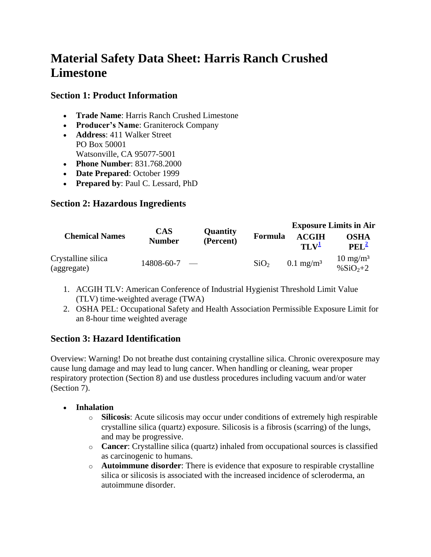# **Material Safety Data Sheet: Harris Ranch Crushed Limestone**

### **Section 1: Product Information**

- **Trade Name**: Harris Ranch Crushed Limestone
- **Producer's Name**: Graniterock Company
- **Address**: 411 Walker Street PO Box 50001 Watsonville, CA 95077-5001
- **Phone Number**: 831.768.2000
- **Date Prepared**: October 1999
- **Prepared by**: Paul C. Lessard, PhD

## **Section 2: Hazardous Ingredients**

|                                   |                             | <b>Quantity</b><br>(Percent) |                  | <b>Exposure Limits in Air</b>    |                                      |
|-----------------------------------|-----------------------------|------------------------------|------------------|----------------------------------|--------------------------------------|
| <b>Chemical Names</b>             | <b>CAS</b><br><b>Number</b> |                              | <b>Formula</b>   | <b>ACGIH</b><br>TLV <sup>1</sup> | <b>OSHA</b><br>PEL <sup>2</sup>      |
| Crystalline silica<br>(aggregate) | $14808 - 60 - 7$ -          |                              | SiO <sub>2</sub> | $0.1 \text{ mg/m}^3$             | $10 \text{ mg/m}^3$<br>% $SiO_{2+2}$ |

- 1. ACGIH TLV: American Conference of Industrial Hygienist Threshold Limit Value (TLV) time-weighted average (TWA)
- 2. OSHA PEL: Occupational Safety and Health Association Permissible Exposure Limit for an 8-hour time weighted average

## **Section 3: Hazard Identification**

Overview: Warning! Do not breathe dust containing crystalline silica. Chronic overexposure may cause lung damage and may lead to lung cancer. When handling or cleaning, wear proper respiratory protection (Section 8) and use dustless procedures including vacuum and/or water (Section 7).

#### **Inhalation**

- o **Silicosis**: Acute silicosis may occur under conditions of extremely high respirable crystalline silica (quartz) exposure. Silicosis is a fibrosis (scarring) of the lungs, and may be progressive.
- o **Cancer**: Crystalline silica (quartz) inhaled from occupational sources is classified as carcinogenic to humans.
- o **Autoimmune disorder**: There is evidence that exposure to respirable crystalline silica or silicosis is associated with the increased incidence of scleroderma, an autoimmune disorder.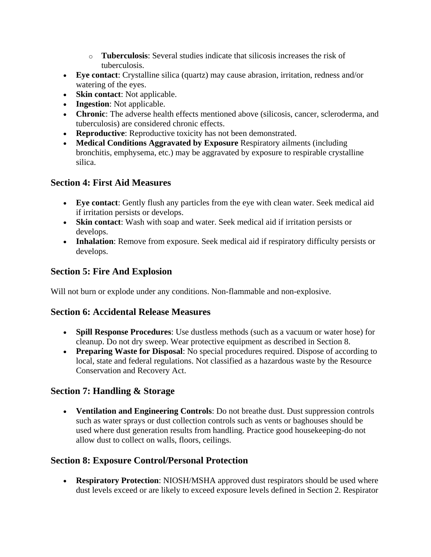- o **Tuberculosis**: Several studies indicate that silicosis increases the risk of tuberculosis.
- **Eye contact**: Crystalline silica (quartz) may cause abrasion, irritation, redness and/or watering of the eyes.
- **Skin contact**: Not applicable.
- **Ingestion**: Not applicable.
- **Chronic**: The adverse health effects mentioned above (silicosis, cancer, scleroderma, and tuberculosis) are considered chronic effects.
- **Reproductive**: Reproductive toxicity has not been demonstrated.
- **Medical Conditions Aggravated by Exposure** Respiratory ailments (including bronchitis, emphysema, etc.) may be aggravated by exposure to respirable crystalline silica.

## **Section 4: First Aid Measures**

- **Eye contact**: Gently flush any particles from the eye with clean water. Seek medical aid if irritation persists or develops.
- **Skin contact**: Wash with soap and water. Seek medical aid if irritation persists or develops.
- **Inhalation**: Remove from exposure. Seek medical aid if respiratory difficulty persists or develops.

# **Section 5: Fire And Explosion**

Will not burn or explode under any conditions. Non-flammable and non-explosive.

## **Section 6: Accidental Release Measures**

- **Spill Response Procedures**: Use dustless methods (such as a vacuum or water hose) for cleanup. Do not dry sweep. Wear protective equipment as described in Section 8.
- **Preparing Waste for Disposal**: No special procedures required. Dispose of according to local, state and federal regulations. Not classified as a hazardous waste by the Resource Conservation and Recovery Act.

# **Section 7: Handling & Storage**

 **Ventilation and Engineering Controls**: Do not breathe dust. Dust suppression controls such as water sprays or dust collection controls such as vents or baghouses should be used where dust generation results from handling. Practice good housekeeping-do not allow dust to collect on walls, floors, ceilings.

# **Section 8: Exposure Control/Personal Protection**

 **Respiratory Protection**: NIOSH/MSHA approved dust respirators should be used where dust levels exceed or are likely to exceed exposure levels defined in Section 2. Respirator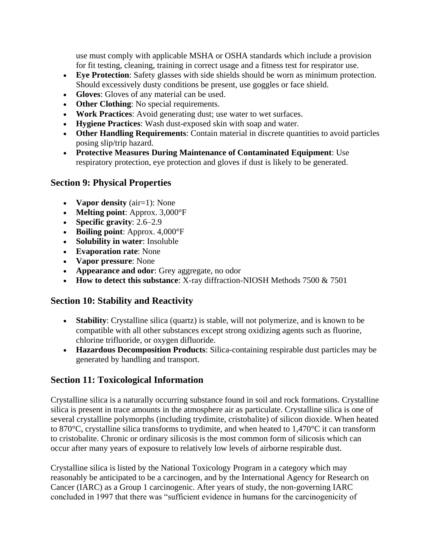use must comply with applicable MSHA or OSHA standards which include a provision for fit testing, cleaning, training in correct usage and a fitness test for respirator use.

- **Eye Protection**: Safety glasses with side shields should be worn as minimum protection. Should excessively dusty conditions be present, use goggles or face shield.
- **Gloves**: Gloves of any material can be used.
- **Other Clothing**: No special requirements.
- **Work Practices**: Avoid generating dust; use water to wet surfaces.
- **Hygiene Practices**: Wash dust-exposed skin with soap and water.
- **Other Handling Requirements**: Contain material in discrete quantities to avoid particles posing slip/trip hazard.
- **Protective Measures During Maintenance of Contaminated Equipment**: Use respiratory protection, eye protection and gloves if dust is likely to be generated.

#### **Section 9: Physical Properties**

- **Vapor density** (air=1): None
- **Melting point**: Approx. 3,000°F
- **Specific gravity**: 2.6–2.9
- **Boiling point**: Approx. 4,000°F
- **Solubility in water**: Insoluble
- **Evaporation rate**: None
- **Vapor pressure**: None
- **Appearance and odor**: Grey aggregate, no odor
- **How to detect this substance**: X-ray diffraction-NIOSH Methods 7500 & 7501

#### **Section 10: Stability and Reactivity**

- **Stability**: Crystalline silica (quartz) is stable, will not polymerize, and is known to be compatible with all other substances except strong oxidizing agents such as fluorine, chlorine trifluoride, or oxygen difluoride.
- **Hazardous Decomposition Products**: Silica-containing respirable dust particles may be generated by handling and transport.

## **Section 11: Toxicological Information**

Crystalline silica is a naturally occurring substance found in soil and rock formations. Crystalline silica is present in trace amounts in the atmosphere air as particulate. Crystalline silica is one of several crystalline polymorphs (including trydimite, cristobalite) of silicon dioxide. When heated to 870°C, crystalline silica transforms to trydimite, and when heated to 1,470°C it can transform to cristobalite. Chronic or ordinary silicosis is the most common form of silicosis which can occur after many years of exposure to relatively low levels of airborne respirable dust.

Crystalline silica is listed by the National Toxicology Program in a category which may reasonably be anticipated to be a carcinogen, and by the International Agency for Research on Cancer (IARC) as a Group 1 carcinogenic. After years of study, the non-governing IARC concluded in 1997 that there was "sufficient evidence in humans for the carcinogenicity of